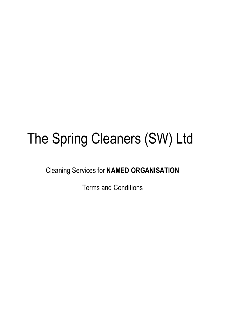# The Spring Cleaners (SW) Ltd

Cleaning Services for **NAMED ORGANISATION**

Terms and Conditions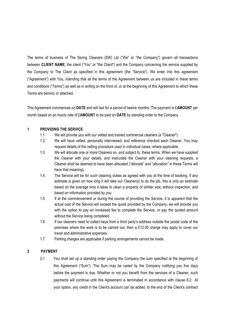The terms of business of The Spring Cleaners (SW) Ltd ("We" or "the Company") govern all transactions between **CLIENT NAME**, the client ("You" or "the Client") and the Company concerning the service supplied by the Company to The Client as specified in this agreement (the "Service"). We enter into this agreement ("Agreement") with You, intending that all the terms of the Agreement between us are included in these terms and conditions ("Terms") as well as in writing on the front of, or at the beginning of this Agreement to which these Terms are behind, or attached.

This Agreement commences on **DATE** and will last for a period of twelve months. The payment is £**AMOUNT** per month based on an hourly rate of £**AMOUNT** to be paid on **DATE** by standing order to the Company.

#### **1 PROVIDING THE SERVICE**

- 1.1 We will provide you with our vetted and trained commercial cleaners (a "Cleaner").
- 1.2 We will have vetted, personally interviewed, and reference checked each Cleaner. You may request details of the vetting procedure used in individual cases, where applicable.
- 1.3 We will allocate one or more Cleaners on, and subject to, these terms. When we have supplied the Cleaner with your details, and instructed the Cleaner with your cleaning requests, a Cleaner shall be deemed to have been allocated ("allocate" and "allocation" in these Terms will have that meaning).
- 1.4 The Service will be for such cleaning duties as agreed with you at the time of booking. If any estimate is given on how long it will take our Cleaner(s) to do the job, this is only an estimate based on the average time it takes to clean a property of similar size, without inspection, and based on information provided by you.
- 1.5 If at the commencement or during the course of providing the Service, it is apparent that the actual cost of the Service will exceed the quote provided by the Company, we will provide you with the option to pay an increased fee to complete the Service, or pay the quoted amount without the Service being completed.
- 1.6 If our cleaners need to collect keys from a third party's address outside the postal code of the premises where the work is to be carried out, then a £12.00 charge may apply to cover our travel and administrative expenses.
- 1.7 Parking charges are applicable if parking arrangements cannot be made.

# **2 PAYMENT**

2.1 You shall set up a standing order paying the Company the sum specified at the beginning of this Agreement ("Sum"). The Sum may be varied by the Company notifying you five days before the payment is due. Whether or not you benefit from the services of a Cleaner, such payments will continue until this Agreement is terminated in accordance with clause 8.2. At your option, any credit in the Client's account can be added, to the end of the Client's contract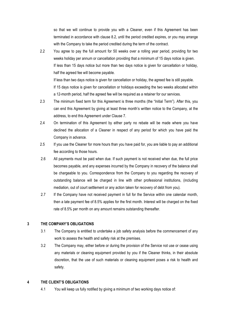so that we will continue to provide you with a Cleaner, even if this Agreement has been terminated in accordance with clause 8.2, until the period credited expires, or you may arrange with the Company to take the period credited during the term of the contract.

2.2 You agree to pay the full amount for 50 weeks over a rolling year period, providing for two weeks holiday per annum or cancellation providing that a minimum of 15 days notice is given. If less than 15 days notice but more than two days notice is given for cancellation or holiday, half the agreed fee will become payable. If less than two days notice is given for cancellation or holiday, the agreed fee is still payable. If 15 days notice is given for cancellation or holidays exceeding the two weeks allocated within

a 12-month period, half the agreed fee will be required as a retainer for our services.

- 2.3 The minimum fixed term for this Agreement is three months (the "Initial Term"). After this, you can end this Agreement by giving at least three month's written notice to the Company, at the address, to end this Agreement under Clause 7.
- 2.4 On termination of this Agreement by either party no rebate will be made where you have declined the allocation of a Cleaner in respect of any period for which you have paid the Company in advance.
- 2.5 If you use the Cleaner for more hours than you have paid for, you are liable to pay an additional fee according to those hours.
- 2.6 All payments must be paid when due. If such payment is not received when due, the full price becomes payable, and any expenses incurred by the Company in recovery of the balance shall be chargeable to you. Correspondence from the Company to you regarding the recovery of outstanding balance will be charged in line with other professional institutions, (including mediation, out of court settlement or any action taken for recovery of debt from you).
- 2.7 If the Company have not received payment in full for the Service within one calendar month, then a late payment fee of 8.5% applies for the first month. Interest will be charged on the fixed rate of 8.5% per month on any amount remains outstanding thereafter.

# **3 THE COMPANY'S OBLIGATIONS**

- 3.1 The Company is entitled to undertake a job safety analysis before the commencement of any work to assess the health and safety risk at the premises.
- 3.2 The Company may, either before or during the provision of the Service not use or cease using any materials or cleaning equipment provided by you if the Cleaner thinks, in their absolute discretion, that the use of such materials or cleaning equipment poses a risk to health and safety.

# **4 THE CLIENT'S OBLIGATIONS**

4.1 You will keep us fully notified by giving a minimum of two working days notice of: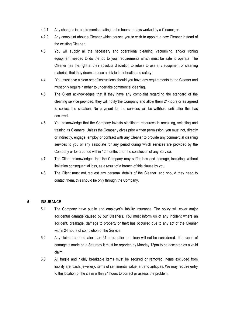- 4.2.1 Any changes in requirements relating to the hours or days worked by a Cleaner; or
- 4.2.2 Any complaint about a Cleaner which causes you to wish to appoint a new Cleaner instead of the existing Cleaner;
- 4.3 You will supply all the necessary and operational cleaning, vacuuming, and/or ironing equipment needed to do the job to your requirements which must be safe to operate. The Cleaner has the right at their absolute discretion to refuse to use any equipment or cleaning materials that they deem to pose a risk to their health and safety.
- 4.4 You must give a clear set of instructions should you have any requirements to the Cleaner and must only require him/her to undertake commercial cleaning.
- 4.5 The Client acknowledges that if they have any complaint regarding the standard of the cleaning service provided, they will notify the Company and allow them 24-hours or as agreed to correct the situation. No payment for the services will be withheld until after this has occurred.
- 4.6 You acknowledge that the Company invests significant resources in recruiting, selecting and training its Cleaners. Unless the Company gives prior written permission, you must not, directly or indirectly, engage, employ or contract with any Cleaner to provide any commercial cleaning services to you or any associate for any period during which services are provided by the Company or for a period within 12 months after the conclusion of any Service.
- 4.7 The Client acknowledges that the Company may suffer loss and damage, including, without limitation consequential loss, as a result of a breach of this clause by you
- 4.8 The Client must not request any personal details of the Cleaner, and should they need to contact them, this should be only through the Company.

#### **5 INSURANCE**

- 5.1 The Company have public and employer's liability insurance. The policy will cover major accidental damage caused by our Cleaners. You must inform us of any incident where an accident, breakage, damage to property or theft has occurred due to any act of the Cleaner within 24 hours of completion of the Service.
- 5.2 Any claims reported later than 24 hours after the clean will not be considered. If a report of damage is made on a Saturday it must be reported by Monday 12pm to be accepted as a valid claim.
- 5.3 All fragile and highly breakable items must be secured or removed. Items excluded from liability are: cash, jewellery, items of sentimental value, art and antiques. We may require entry to the location of the claim within 24 hours to correct or assess the problem.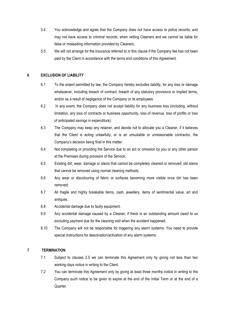- 5.4 You acknowledge and agree that the Company does not have access to police records, and may not have access to criminal records, when vetting Cleaners and we cannot be liable for false or misleading information provided by Cleaners.
- 5.5 We will not arrange for the insurance referred to in this clause if the Company fee has not been paid by the Client in accordance with the terms and conditions of this Agreement.

# **6 EXCLUSION OF LIABILITY**

- 6.1 To the extent permitted by law, the Company hereby excludes liability, for any loss or damage whatsoever, including breach of contract, breach of any statutory provisions or implied terms, and/or as a result of negligence of the Company or its employees.
- 6.2 In any event, the Company does not accept liability for any business loss (including, without limitation, any loss of contracts or business opportunity, loss of revenue, loss of profits or loss of anticipated savings in expenditure).
- 6.3 The Company may keep any retainer, and decide not to allocate you a Cleaner, if it believes that the Client is acting unlawfully, or is an unsuitable or unreasonable contractor, the Company's decision being final in this matter.
- 6.4 Not completing or providing the Service due to an act or omission by you or any other person at the Premises during provision of the Service;
- 6.5 Existing dirt, wear, damage or stains that cannot be completely cleaned or removed; old stains that cannot be removed using normal cleaning methods.
- 6.6 Any wear or discolouring of fabric or surfaces becoming more visible once dirt has been removed;
- 6.7 All fragile and highly breakable items, cash, jewellery, items of sentimental value, art and antiques.
- 6.8 Accidental damage due to faulty equipment.
- 6.9 Any accidental damage caused by a Cleaner, if there is an outstanding amount owed to us excluding payment due for the cleaning visit when the accident happened.
- 6.10 The Company will not be responsible for triggering any alarm systems. You need to provide special instructions for deactivation/activation of any alarm systems.

# **7 TERMINATION**

- 7.1 Subject to clauses 2.5 we can terminate this Agreement only by giving not less than two working days notice in writing to the Client.
- 7.2 You can terminate this Agreement only by giving at least three months notice in writing to the Company such notice to be given to expire at the end of the Initial Term or at the end of a Quarter.